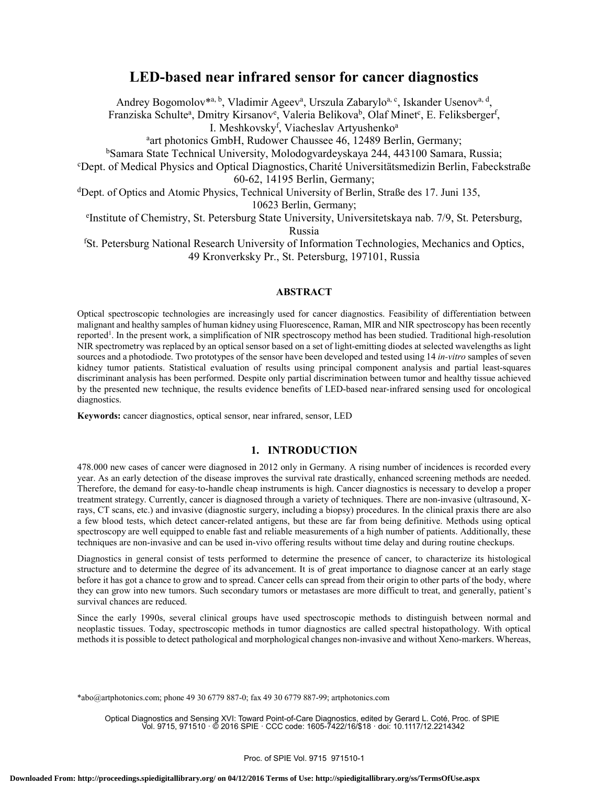# **LED-based near infrared sensor for cancer diagnostics**

Andrey Bogomolov\*a, b, Vladimir Ageev<sup>a</sup>, Urszula Zabarylo<sup>a, c</sup>, Iskander Usenov<sup>a, d</sup>,

Franziska Schulte<sup>a</sup>, Dmitry Kirsanov<sup>e</sup>, Valeria Belikova<sup>b</sup>, Olaf Minet<sup>c</sup>, E. Feliksberger<sup>f</sup>,

I. Meshkovsky<sup>f</sup>, Viacheslav Artyushenko<sup>a</sup>

art photonics GmbH, Rudower Chaussee 46, 12489 Berlin, Germany;

bSamara State Technical University, Molodogvardeyskaya 244, 443100 Samara, Russia;

Dept. of Medical Physics and Optical Diagnostics,Charité Universitätsmedizin Berlin, Fabeckstraße 60-62, 14195 Berlin, Germany;

dDept. of Optics and Atomic Physics, Technical University of Berlin, Straße des 17. Juni 135,

10623 Berlin, Germany;

e Institute of Chemistry, St. Petersburg State University, Universitetskaya nab. 7/9, St. Petersburg, Russia

f St. Petersburg National Research University of Information Technologies, Mechanics and Optics, 49 Kronverksky Pr., St. Petersburg, 197101, Russia

## **ABSTRACT**

Optical spectroscopic technologies are increasingly used for cancer diagnostics. Feasibility of differentiation between malignant and healthy samples of human kidney using Fluorescence, Raman, MIR and NIR spectroscopy has been recently reported<sup>1</sup>. In the present work, a simplification of NIR spectroscopy method has been studied. Traditional high-resolution NIR spectrometry was replaced by an optical sensor based on a set of light-emitting diodes at selected wavelengths as light sources and a photodiode. Two prototypes of the sensor have been developed and tested using 14 *in-vitro* samples of seven kidney tumor patients. Statistical evaluation of results using principal component analysis and partial least-squares discriminant analysis has been performed. Despite only partial discrimination between tumor and healthy tissue achieved by the presented new technique, the results evidence benefits of LED-based near-infrared sensing used for oncological diagnostics.

**Keywords:** cancer diagnostics, optical sensor, near infrared, sensor, LED

## **1. INTRODUCTION**

478.000 new cases of cancer were diagnosed in 2012 only in Germany. A rising number of incidences is recorded every year. As an early detection of the disease improves the survival rate drastically, enhanced screening methods are needed. Therefore, the demand for easy-to-handle cheap instruments is high. Cancer diagnostics is necessary to develop a proper treatment strategy. Currently, cancer is diagnosed through a variety of techniques. There are non-invasive (ultrasound, Xrays, CT scans, etc.) and invasive (diagnostic surgery, including a biopsy) procedures. In the clinical praxis there are also a few blood tests, which detect cancer-related antigens, but these are far from being definitive. Methods using optical spectroscopy are well equipped to enable fast and reliable measurements of a high number of patients. Additionally, these techniques are non-invasive and can be used in-vivo offering results without time delay and during routine checkups.

Diagnostics in general consist of tests performed to determine the presence of cancer, to characterize its histological structure and to determine the degree of its advancement. It is of great importance to diagnose cancer at an early stage before it has got a chance to grow and to spread. Cancer cells can spread from their origin to other parts of the body, where they can grow into new tumors. Such secondary tumors or metastases are more difficult to treat, and generally, patient's survival chances are reduced.

Since the early 1990s, several clinical groups have used spectroscopic methods to distinguish between normal and neoplastic tissues. Today, spectroscopic methods in tumor diagnostics are called spectral histopathology. With optical methods it is possible to detect pathological and morphological changes non-invasive and without Xeno-markers. Whereas,

\*abo@artphotonics.com; phone 49 30 6779 887-0; fax 49 30 6779 887-99; artphotonics.com

Optical Diagnostics and Sensing XVI: Toward Point-of-Care Diagnostics, edited by Gerard L. Coté, Proc. of SPIE Vol. 9715, 971510 · © 2016 SPIE · CCC code: 1605-7422/16/\$18 · doi: 10.1117/12.2214342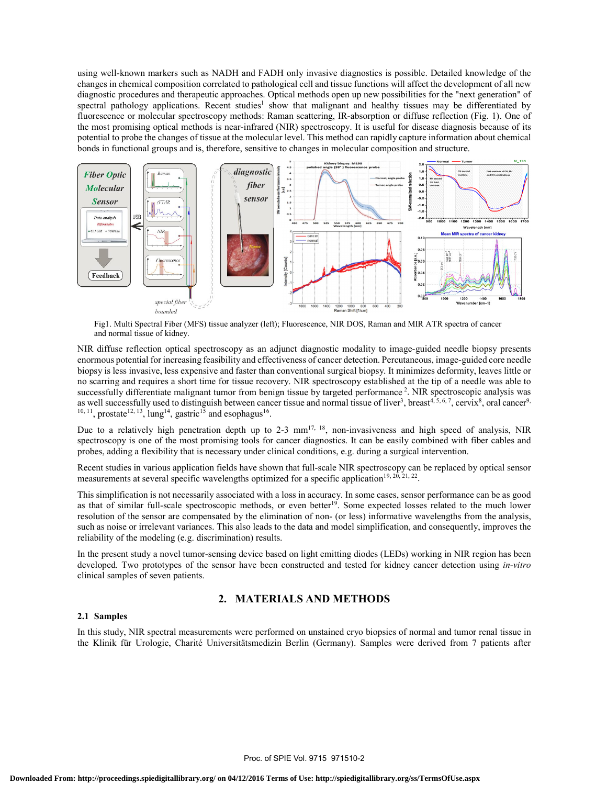using well-known markers such as NADH and FADH only invasive diagnostics is possible. Detailed knowledge of the changes in chemical composition correlated to pathological cell and tissue functions will affect the development of all new diagnostic procedures and therapeutic approaches. Optical methods open up new possibilities for the "next generation" of spectral pathology applications. Recent studies<sup>1</sup> show that malignant and healthy tissues may be differentiated by fluorescence or molecular spectroscopy methods: Raman scattering, IR-absorption or diffuse reflection (Fig. 1). One of the most promising optical methods is near-infrared (NIR) spectroscopy. It is useful for disease diagnosis because of its potential to probe the changes of tissue at the molecular level. This method can rapidly capture information about chemical bonds in functional groups and is, therefore, sensitive to changes in molecular composition and structure.



Fig1. Multi Spectral Fiber (MFS) tissue analyzer (left); Fluorescence, NIR DOS, Raman and MIR ATR spectra of cancer and normal tissue of kidney.

NIR diffuse reflection optical spectroscopy as an adjunct diagnostic modality to image-guided needle biopsy presents enormous potential for increasing feasibility and effectiveness of cancer detection. Percutaneous, image-guided core needle biopsy is less invasive, less expensive and faster than conventional surgical biopsy. It minimizes deformity, leaves little or no scarring and requires a short time for tissue recovery. NIR spectroscopy established at the tip of a needle was able to successfully differentiate malignant tumor from benign tissue by targeted performance<sup>2</sup>. NIR spectroscopic analysis was as well successfully used to distinguish between cancer tissue and normal tissue of liver<sup>3</sup>, breast<sup>4, 5, 6, 7</sup>, cervix<sup>8</sup>, oral cancer<sup>9,</sup>  $10, 11$ , prostate<sup>12, 13</sup>, lung<sup>14</sup>, gastric<sup>15</sup> and esophagus<sup>16</sup>.

Due to a relatively high penetration depth up to 2-3 mm<sup>17, 18</sup>, non-invasiveness and high speed of analysis, NIR spectroscopy is one of the most promising tools for cancer diagnostics. It can be easily combined with fiber cables and probes, adding a flexibility that is necessary under clinical conditions, e.g. during a surgical intervention.

Recent studies in various application fields have shown that full-scale NIR spectroscopy can be replaced by optical sensor measurements at several specific wavelengths optimized for a specific application<sup>19, 20, 21, 22</sup>.

This simplification is not necessarily associated with a loss in accuracy. In some cases, sensor performance can be as good as that of similar full-scale spectroscopic methods, or even better<sup>19</sup>. Some expected losses related to the much lower resolution of the sensor are compensated by the elimination of non- (or less) informative wavelengths from the analysis, such as noise or irrelevant variances. This also leads to the data and model simplification, and consequently, improves the reliability of the modeling (e.g. discrimination) results.

In the present study a novel tumor-sensing device based on light emitting diodes (LEDs) working in NIR region has been developed. Two prototypes of the sensor have been constructed and tested for kidney cancer detection using *in-vitro* clinical samples of seven patients.

## **2. MATERIALS AND METHODS**

#### **2.1 Samples**

In this study, NIR spectral measurements were performed on unstained cryo biopsies of normal and tumor renal tissue in the Klinik für Urologie, Charité Universitätsmedizin Berlin (Germany). Samples were derived from 7 patients after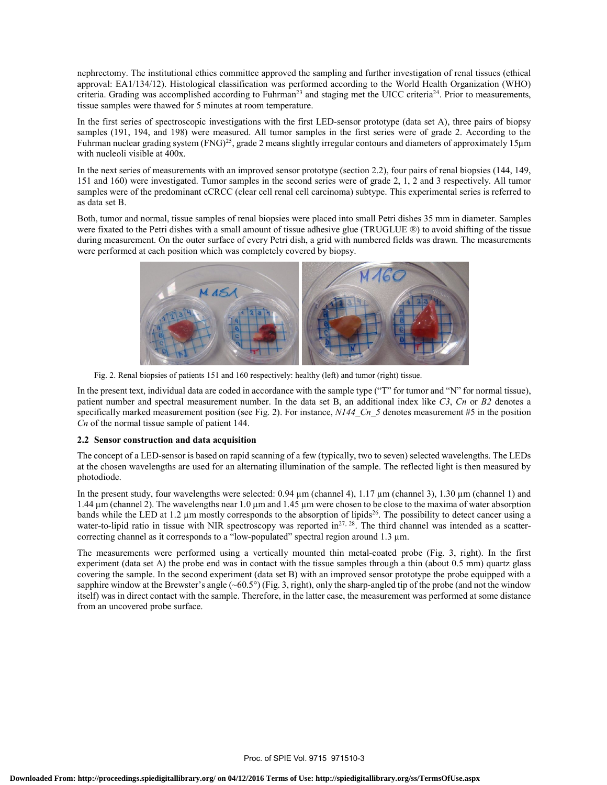nephrectomy. The institutional ethics committee approved the sampling and further investigation of renal tissues (ethical approval: EA1/134/12). Histological classification was performed according to the World Health Organization (WHO) criteria. Grading was accomplished according to Fuhrman<sup>23</sup> and staging met the UICC criteria<sup>24</sup>. Prior to measurements, tissue samples were thawed for 5 minutes at room temperature.

In the first series of spectroscopic investigations with the first LED-sensor prototype (data set A), three pairs of biopsy samples (191, 194, and 198) were measured. All tumor samples in the first series were of grade 2. According to the Fuhrman nuclear grading system (FNG)<sup>25</sup>, grade 2 means slightly irregular contours and diameters of approximately 15 $\mu$ m with nucleoli visible at 400x.

In the next series of measurements with an improved sensor prototype (section 2.2), four pairs of renal biopsies (144, 149, 151 and 160) were investigated. Tumor samples in the second series were of grade 2, 1, 2 and 3 respectively. All tumor samples were of the predominant cCRCC (clear cell renal cell carcinoma) subtype. This experimental series is referred to as data set B.

Both, tumor and normal, tissue samples of renal biopsies were placed into small Petri dishes 35 mm in diameter. Samples were fixated to the Petri dishes with a small amount of tissue adhesive glue (TRUGLUE ®) to avoid shifting of the tissue during measurement. On the outer surface of every Petri dish, a grid with numbered fields was drawn. The measurements were performed at each position which was completely covered by biopsy.



Fig. 2. Renal biopsies of patients 151 and 160 respectively: healthy (left) and tumor (right) tissue.

In the present text, individual data are coded in accordance with the sample type ("T" for tumor and "N" for normal tissue), patient number and spectral measurement number. In the data set B, an additional index like *C3*, *Cn* or *B2* denotes a specifically marked measurement position (see Fig. 2). For instance, *N144 Cn* 5 denotes measurement #5 in the position *Cn* of the normal tissue sample of patient 144.

#### **2.2 Sensor construction and data acquisition**

The concept of a LED-sensor is based on rapid scanning of a few (typically, two to seven) selected wavelengths. The LEDs at the chosen wavelengths are used for an alternating illumination of the sample. The reflected light is then measured by photodiode.

In the present study, four wavelengths were selected:  $0.94 \mu m$  (channel 4),  $1.17 \mu m$  (channel 3),  $1.30 \mu m$  (channel 1) and 1.44 µm (channel 2). The wavelengths near 1.0 µm and 1.45 µm were chosen to be close to the maxima of water absorption bands while the LED at 1.2  $\mu$ m mostly corresponds to the absorption of lipids<sup>26</sup>. The possibility to detect cancer using a water-to-lipid ratio in tissue with NIR spectroscopy was reported in<sup>27, 28</sup>. The third channel was intended as a scattercorrecting channel as it corresponds to a "low-populated" spectral region around 1.3 µm.

The measurements were performed using a vertically mounted thin metal-coated probe (Fig. 3, right). In the first experiment (data set A) the probe end was in contact with the tissue samples through a thin (about 0.5 mm) quartz glass covering the sample. In the second experiment (data set B) with an improved sensor prototype the probe equipped with a sapphire window at the Brewster's angle  $(-60.5^{\circ})$  (Fig. 3, right), only the sharp-angled tip of the probe (and not the window itself) was in direct contact with the sample. Therefore, in the latter case, the measurement was performed at some distance from an uncovered probe surface.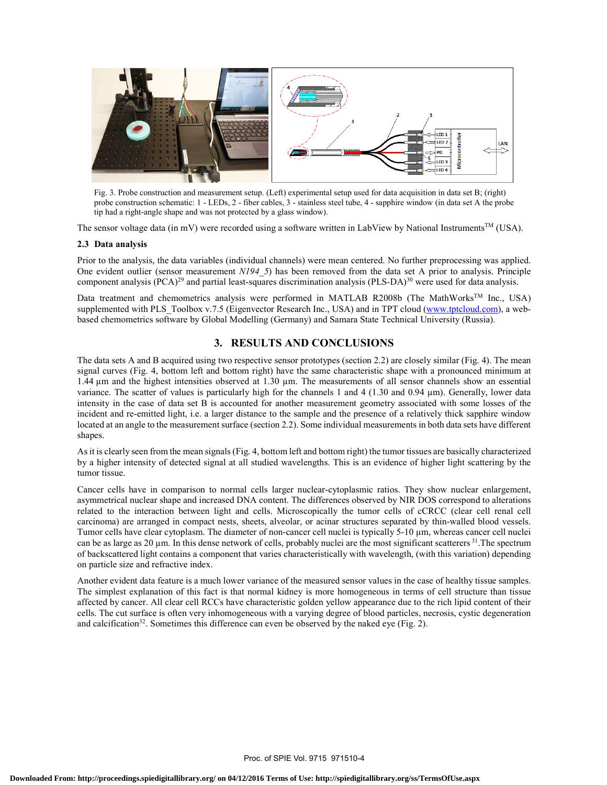

hold construction schematic. 1 - EEDs, 2 - hold capits, 3 - stamples steel thou, 4 tip had a right-angle shape and was not protected by a glass window). Fig. 3. Probe construction and measurement setup. (Left) experimental setup used for data acquisition in data set B; (right) probe construction schematic: 1 - LEDs, 2 - fiber cables, 3 - stainless steel tube, 4 - sapphire window (in data set A the probe

The sensor voltage data (in mV) were recorded using a software written in LabView by National Instruments<sup>TM</sup> (USA).

#### **2.3 Data analysis**

Prior to the analysis, the data variables (individual channels) were mean centered. No further preprocessing was applied. One evident outlier (sensor measurement *N194\_5*) has been removed from the data set A prior to analysis. Principle component analysis  $(PCA)^{29}$  and partial least-squares discrimination analysis  $(PLS-DA)^{30}$  were used for data analysis.

Data treatment and chemometrics analysis were performed in MATLAB R2008b (The MathWorks<sup>TM</sup> Inc., USA) supplemented with PLS\_Toolbox v.7.5 (Eigenvector Research Inc., USA) and in TPT cloud (www.tptcloud.com), a webbased chemometrics software by Global Modelling (Germany) and Samara State Technical University (Russia).

## **3. RESULTS AND CONCLUSIONS**

The data sets A and B acquired using two respective sensor prototypes (section 2.2) are closely similar (Fig. 4). The mean signal curves (Fig. 4, bottom left and bottom right) have the same characteristic shape with a pronounced minimum at 1.44  $\mu$ m and the highest intensities observed at 1.30  $\mu$ m. The measurements of all sensor channels show an essential variance. The scatter of values is particularly high for the channels 1 and 4 (1.30 and 0.94 µm). Generally, lower data intensity in the case of data set B is accounted for another measurement geometry associated with some losses of the incident and re-emitted light, i.e. a larger distance to the sample and the presence of a relatively thick sapphire window located at an angle to the measurement surface (section 2.2). Some individual measurements in both data sets have different shapes.

As it is clearly seen from the mean signals (Fig. 4, bottom left and bottom right) the tumor tissues are basically characterized by a higher intensity of detected signal at all studied wavelengths. This is an evidence of higher light scattering by the tumor tissue.

Cancer cells have in comparison to normal cells larger nuclear-cytoplasmic ratios. They show nuclear enlargement, asymmetrical nuclear shape and increased DNA content. The differences observed by NIR DOS correspond to alterations related to the interaction between light and cells. Microscopically the tumor cells of cCRCC (clear cell renal cell carcinoma) are arranged in compact nests, sheets, alveolar, or acinar structures separated by thin-walled blood vessels. Tumor cells have clear cytoplasm. The diameter of non-cancer cell nuclei is typically 5-10 µm, whereas cancer cell nuclei can be as large as 20  $\mu$ m. In this dense network of cells, probably nuclei are the most significant scatterers  $31$ . The spectrum of backscattered light contains a component that varies characteristically with wavelength, (with this variation) depending on particle size and refractive index.

Another evident data feature is a much lower variance of the measured sensor values in the case of healthy tissue samples. The simplest explanation of this fact is that normal kidney is more homogeneous in terms of cell structure than tissue affected by cancer. All clear cell RCCs have characteristic golden yellow appearance due to the rich lipid content of their cells. The cut surface is often very inhomogeneous with a varying degree of blood particles, necrosis, cystic degeneration and calcification<sup>32</sup>. Sometimes this difference can even be observed by the naked eye (Fig. 2).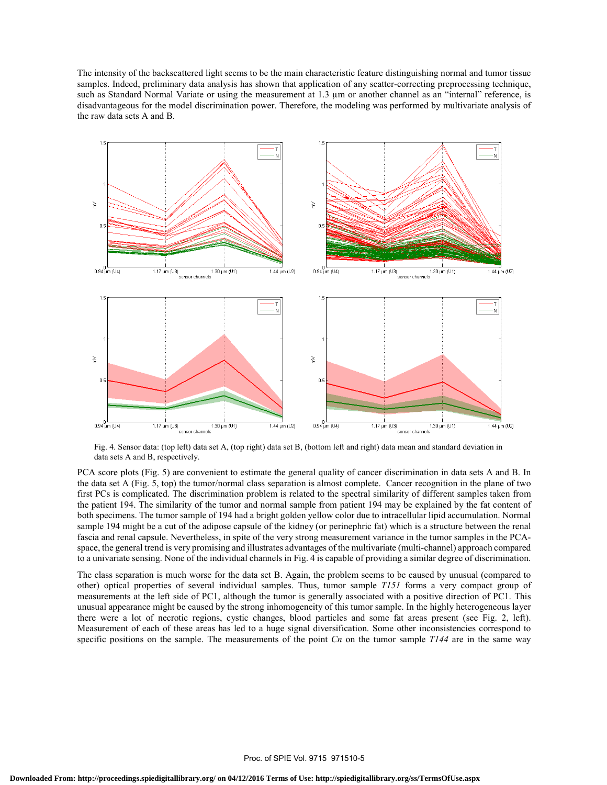The intensity of the backscattered light seems to be the main characteristic feature distinguishing normal and tumor tissue samples. Indeed, preliminary data analysis has shown that application of any scatter-correcting preprocessing technique, such as Standard Normal Variate or using the measurement at 1.3  $\mu$ m or another channel as an "internal" reference, is disadvantageous for the model discrimination power. Therefore, the modeling was performed by multivariate analysis of the raw data sets A and B.



Fig. 4. Sensor data: (top left) data set A, (top right) data set B, (bottom left and right) data mean and standard deviation in data sets A and B, respectively.

PCA score plots (Fig. 5) are convenient to estimate the general quality of cancer discrimination in data sets A and B. In the data set A (Fig. 5, top) the tumor/normal class separation is almost complete. Cancer recognition in the plane of two first PCs is complicated. The discrimination problem is related to the spectral similarity of different samples taken from the patient 194. The similarity of the tumor and normal sample from patient 194 may be explained by the fat content of both specimens. The tumor sample of 194 had a bright golden yellow color due to intracellular lipid accumulation. Normal sample 194 might be a cut of the adipose capsule of the kidney (or perinephric fat) which is a structure between the renal fascia and renal capsule. Nevertheless, in spite of the very strong measurement variance in the tumor samples in the PCAspace, the general trend is very promising and illustrates advantages of the multivariate (multi-channel) approach compared to a univariate sensing. None of the individual channels in Fig. 4 is capable of providing a similar degree of discrimination.

The class separation is much worse for the data set B. Again, the problem seems to be caused by unusual (compared to other) optical properties of several individual samples. Thus, tumor sample *T151* forms a very compact group of measurements at the left side of PC1, although the tumor is generally associated with a positive direction of PC1. This unusual appearance might be caused by the strong inhomogeneity of this tumor sample. In the highly heterogeneous layer there were a lot of necrotic regions, cystic changes, blood particles and some fat areas present (see Fig. 2, left). Measurement of each of these areas has led to a huge signal diversification. Some other inconsistencies correspond to specific positions on the sample. The measurements of the point *Cn* on the tumor sample *T144* are in the same way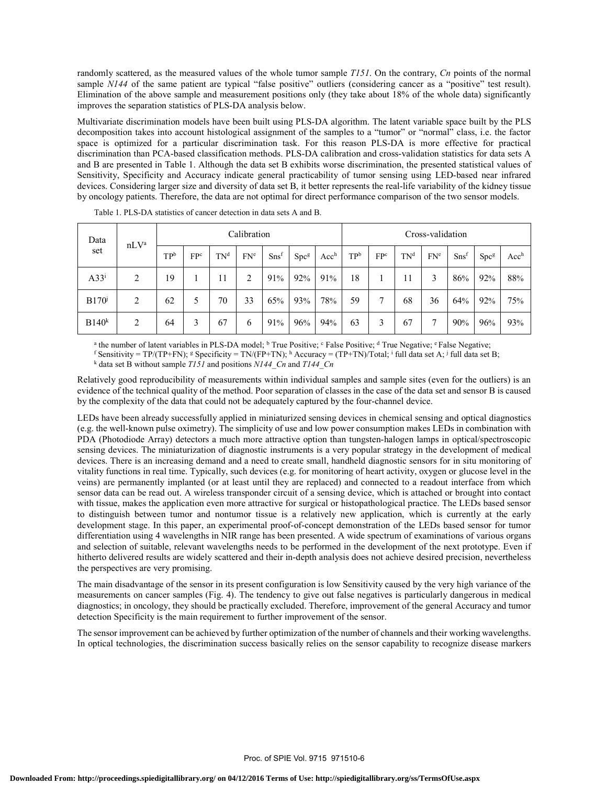randomly scattered, as the measured values of the whole tumor sample *T151*. On the contrary, *Cn* points of the normal sample *N144* of the same patient are typical "false positive" outliers (considering cancer as a "positive" test result). Elimination of the above sample and measurement positions only (they take about 18% of the whole data) significantly improves the separation statistics of PLS-DA analysis below.

Multivariate discrimination models have been built using PLS-DA algorithm. The latent variable space built by the PLS decomposition takes into account histological assignment of the samples to a "tumor" or "normal" class, i.e. the factor space is optimized for a particular discrimination task. For this reason PLS-DA is more effective for practical discrimination than PCA-based classification methods. PLS-DA calibration and cross-validation statistics for data sets A and B are presented in Table 1. Although the data set B exhibits worse discrimination, the presented statistical values of Sensitivity, Specificity and Accuracy indicate general practicability of tumor sensing using LED-based near infrared devices. Considering larger size and diversity of data set B, it better represents the real-life variability of the kidney tissue by oncology patients. Therefore, the data are not optimal for direct performance comparison of the two sensor models.

| Data<br>set         | nLV <sup>a</sup> | Calibration |     |                 |     |         |                  | Cross-validation |     |     |                 |                 |                  |                  |                  |
|---------------------|------------------|-------------|-----|-----------------|-----|---------|------------------|------------------|-----|-----|-----------------|-----------------|------------------|------------------|------------------|
|                     |                  | TPb         | FPc | TN <sup>d</sup> | FNe | $Sns$ f | Spc <sup>g</sup> | Acc <sup>h</sup> | TPb | FPc | TN <sup>d</sup> | FN <sup>e</sup> | S <sub>nsf</sub> | Spc <sup>g</sup> | Acc <sup>h</sup> |
| $A33^i$             | 2                | 19          |     | 11              | 2   | 91%     | 92%              | 91%              | 18  |     | 11              | 3               | 86%              | 92%              | 88%              |
| $B170^{\mathrm{i}}$ | 2                | 62          | 5   | 70              | 33  | 65%     | 93%              | 78%              | 59  | 7   | 68              | 36              | 64%              | 92%              | 75%              |
| B140 <sup>k</sup>   | $\overline{2}$   | 64          | 3   | 67              | 6   | 91%     | 96%              | 94%              | 63  | 3   | 67              | Ξ               | 90%              | 96%              | 93%              |

| Table 1. PLS-DA statistics of cancer detection in data sets A and B. |  |  |  |  |  |
|----------------------------------------------------------------------|--|--|--|--|--|
|----------------------------------------------------------------------|--|--|--|--|--|

<sup>a</sup> the number of latent variables in PLS-DA model; <sup>b</sup> True Positive; <sup>c</sup> False Positive; <sup>d</sup> True Negative; <sup>e</sup> False Negative;  $\frac{1}{2}$  following the Negative;  $\frac{1}{2}$  following  $\frac{1}{2}$  following  $\frac{1}{2}$  followi

<sup>f</sup> Sensitivity = TP/(TP+FN); <sup>g</sup> Specificity = TN/(FP+TN); <sup>h</sup> Accuracy = (TP+TN)/Total; <sup>i</sup> full data set A; <sup>j</sup> full data set B;<br><sup>k</sup> data set B without sample *T151* and positions *N144. Cn* and *T144. Cn* 

Relatively good reproducibility of measurements within individual samples and sample sites (even for the outliers) is an evidence of the technical quality of the method. Poor separation of classes in the case of the data set and sensor B is caused by the complexity of the data that could not be adequately captured by the four-channel device.

LEDs have been already successfully applied in miniaturized sensing devices in chemical sensing and optical diagnostics (e.g. the well-known pulse oximetry). The simplicity of use and low power consumption makes LEDs in combination with PDA (Photodiode Array) detectors a much more attractive option than tungsten-halogen lamps in optical/spectroscopic sensing devices. The miniaturization of diagnostic instruments is a very popular strategy in the development of medical devices. There is an increasing demand and a need to create small, handheld diagnostic sensors for in situ monitoring of vitality functions in real time. Typically, such devices (e.g. for monitoring of heart activity, oxygen or glucose level in the veins) are permanently implanted (or at least until they are replaced) and connected to a readout interface from which sensor data can be read out. A wireless transponder circuit of a sensing device, which is attached or brought into contact with tissue, makes the application even more attractive for surgical or histopathological practice. The LEDs based sensor to distinguish between tumor and nontumor tissue is a relatively new application, which is currently at the early development stage. In this paper, an experimental proof-of-concept demonstration of the LEDs based sensor for tumor differentiation using 4 wavelengths in NIR range has been presented. A wide spectrum of examinations of various organs and selection of suitable, relevant wavelengths needs to be performed in the development of the next prototype. Even if hitherto delivered results are widely scattered and their in-depth analysis does not achieve desired precision, nevertheless the perspectives are very promising.

The main disadvantage of the sensor in its present configuration is low Sensitivity caused by the very high variance of the measurements on cancer samples (Fig. 4). The tendency to give out false negatives is particularly dangerous in medical diagnostics; in oncology, they should be practically excluded. Therefore, improvement of the general Accuracy and tumor detection Specificity is the main requirement to further improvement of the sensor.

The sensor improvement can be achieved by further optimization of the number of channels and their working wavelengths. In optical technologies, the discrimination success basically relies on the sensor capability to recognize disease markers

data set B without sample *T151* and positions *N144\_Cn* and *T144\_Cn*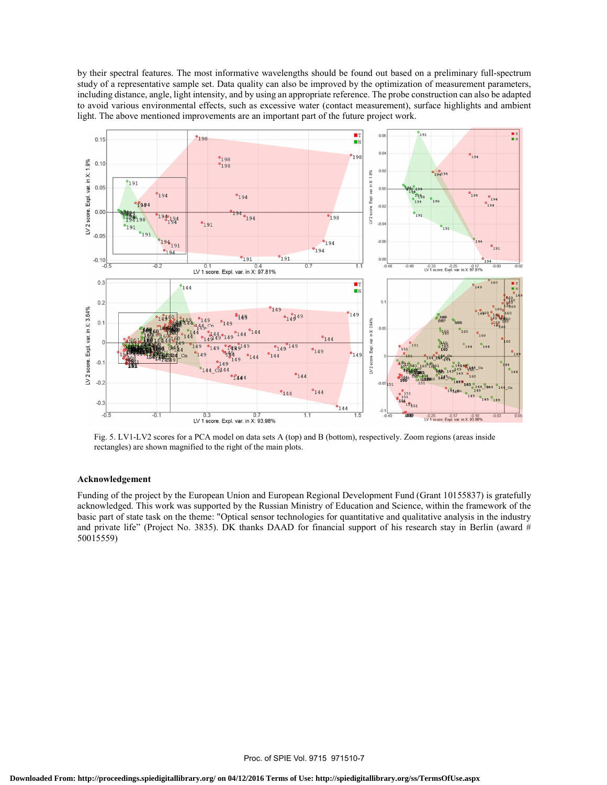by their spectral features. The most informative wavelengths should be found out based on a preliminary full-spectrum study of a representative sample set. Data quality can also be improved by the optimization of measurement parameters, including distance, angle, light intensity, and by using an appropriate reference. The probe construction can also be adapted to avoid various environmental effects, such as excessive water (contact measurement), surface highlights and ambient light. The above mentioned improvements are an important part of the future project work.



Fig. 5. LV1-LV2 scores for a PCA model on data sets A (top) and B (bottom), respectively. Zoom regions (areas inside rectangles) are shown magnified to the right of the main plots.

#### **Acknowledgement**

Funding of the project by the European Union and European Regional Development Fund (Grant 10155837) is gratefully acknowledged. This work was supported by the Russian Ministry of Education and Science, within the framework of the basic part of state task on the theme: "Optical sensor technologies for quantitative and qualitative analysis in the industry and private life" (Project No. 3835). DK thanks DAAD for financial support of his research stay in Berlin (award # 50015559)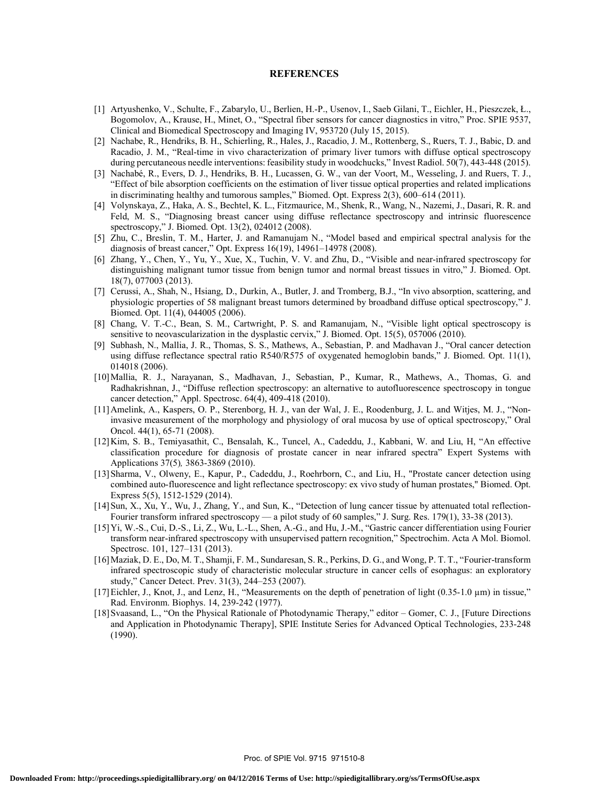#### **REFERENCES**

- [1] Artyushenko, V., Schulte, F., Zabarylo, U., Berlien, H.-P., Usenov, I., Saeb Gilani, T., Eichler, H., Pieszczek, Ł., Bogomolov, A., Krause, H., Minet, O., "Spectral fiber sensors for cancer diagnostics in vitro," Proc. SPIE 9537, Clinical and Biomedical Spectroscopy and Imaging IV, 953720 (July 15, 2015).
- [2] Nachabe, R., Hendriks, B. H., Schierling, R., Hales, J., Racadio, J. M., Rottenberg, S., Ruers, T. J., Babic, D. and Racadio, J. M., "Real-time in vivo characterization of primary liver tumors with diffuse optical spectroscopy during percutaneous needle interventions: feasibility study in woodchucks," Invest Radiol. 50(7), 443-448 (2015).
- [3] Nachabé, R., Evers, D. J., Hendriks, B. H., Lucassen, G. W., van der Voort, M., Wesseling, J. and Ruers, T. J., "Effect of bile absorption coefficients on the estimation of liver tissue optical properties and related implications in discriminating healthy and tumorous samples," Biomed. Opt. Express 2(3), 600–614 (2011).
- [4] Volynskaya, Z., Haka, A. S., Bechtel, K. L., Fitzmaurice, M., Shenk, R., Wang, N., Nazemi, J., Dasari, R. R. and Feld, M. S., "Diagnosing breast cancer using diffuse reflectance spectroscopy and intrinsic fluorescence spectroscopy," J. Biomed. Opt. 13(2), 024012 (2008).
- [5] Zhu, C., Breslin, T. M., Harter, J. and Ramanujam N., "Model based and empirical spectral analysis for the diagnosis of breast cancer," Opt. Express 16(19), 14961–14978 (2008).
- [6] Zhang, Y., Chen, Y., Yu, Y., Xue, X., Tuchin, V. V. and Zhu, D., "Visible and near-infrared spectroscopy for distinguishing malignant tumor tissue from benign tumor and normal breast tissues in vitro," J. Biomed. Opt. 18(7), 077003 (2013).
- [7] Cerussi, A., Shah, N., Hsiang, D., Durkin, A., Butler, J. and Tromberg, B.J., "In vivo absorption, scattering, and physiologic properties of 58 malignant breast tumors determined by broadband diffuse optical spectroscopy," J. Biomed. Opt. 11(4), 044005 (2006).
- [8] Chang, V. T.-C., Bean, S. M., Cartwright, P. S. and Ramanujam, N., "Visible light optical spectroscopy is sensitive to neovascularization in the dysplastic cervix," J. Biomed. Opt. 15(5), 057006 (2010).
- [9] Subhash, N., Mallia, J. R., Thomas, S. S., Mathews, A., Sebastian, P. and Madhavan J., "Oral cancer detection using diffuse reflectance spectral ratio R540/R575 of oxygenated hemoglobin bands," J. Biomed. Opt. 11(1), 014018 (2006).
- [10] Mallia, R. J., Narayanan, S., Madhavan, J., Sebastian, P., Kumar, R., Mathews, A., Thomas, G. and Radhakrishnan, J., "Diffuse reflection spectroscopy: an alternative to autofluorescence spectroscopy in tongue cancer detection," Appl. Spectrosc. 64(4), 409-418 (2010).
- [11] Amelink, A., Kaspers, O. P., Sterenborg, H. J., van der Wal, J. E., Roodenburg, J. L. and Witjes, M. J., "Noninvasive measurement of the morphology and physiology of oral mucosa by use of optical spectroscopy," Oral Oncol. 44(1), 65-71 (2008).
- [12] Kim, S. B., Temiyasathit, C., Bensalah, K., Tuncel, A., Cadeddu, J., Kabbani, W. and Liu, H, "An effective classification procedure for diagnosis of prostate cancer in near infrared spectra" Expert Systems with Applications 37(5)*,* 3863-3869 (2010).
- [13] Sharma, V., Olweny, E., Kapur, P., Cadeddu, J., Roehrborn, C., and Liu, H., "Prostate cancer detection using combined auto-fluorescence and light reflectance spectroscopy: ex vivo study of human prostates," Biomed. Opt. Express 5(5), 1512-1529 (2014).
- [14] Sun, X., Xu, Y., Wu, J., Zhang, Y., and Sun, K., "Detection of lung cancer tissue by attenuated total reflection-Fourier transform infrared spectroscopy — a pilot study of 60 samples," J. Surg. Res. 179(1), 33-38 (2013).
- [15] Yi, W.-S., Cui, D.-S., Li, Z., Wu, L.-L., Shen, A.-G., and Hu, J.-M., "Gastric cancer differentiation using Fourier transform near-infrared spectroscopy with unsupervised pattern recognition," Spectrochim. Acta A Mol. Biomol. Spectrosc. 101, 127–131 (2013).
- [16] Maziak, D. E., Do, M. T., Shamji, F. M., Sundaresan, S. R., Perkins, D. G., and Wong, P. T. T., "Fourier-transform infrared spectroscopic study of characteristic molecular structure in cancer cells of esophagus: an exploratory study," Cancer Detect. Prev. 31(3), 244–253 (2007).
- [17] Eichler, J., Knot, J., and Lenz, H., "Measurements on the depth of penetration of light (0.35-1.0 µm) in tissue," Rad. Environm. Biophys. 14, 239-242 (1977).
- [18] Svaasand, L., "On the Physical Rationale of Photodynamic Therapy," editor Gomer, C. J., [Future Directions and Application in Photodynamic Therapy], SPIE Institute Series for Advanced Optical Technologies, 233-248 (1990).